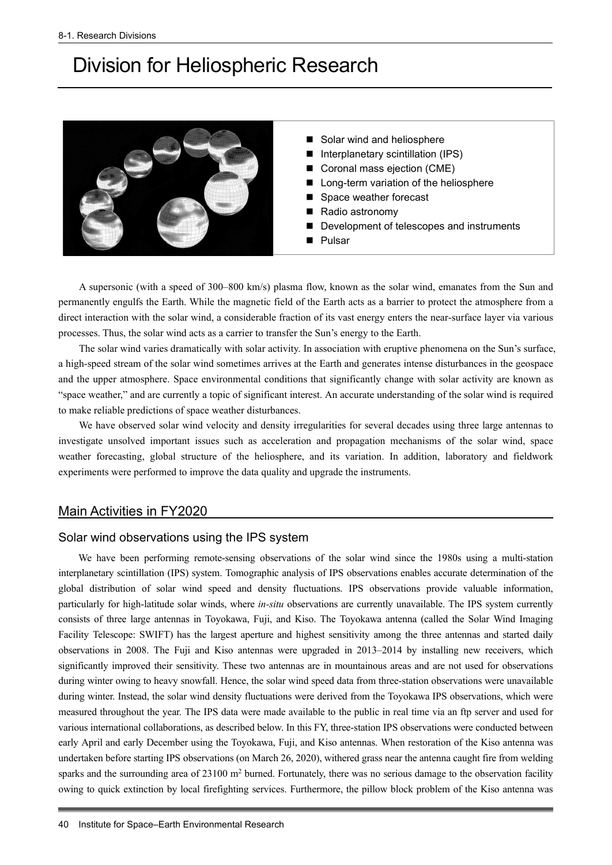# Division for Heliospheric Research



- Solar wind and heliosphere
- Interplanetary scintillation (IPS)
- Coronal mass ejection (CME)
- Long-term variation of the heliosphere
- Space weather forecast
- Radio astronomy
- Development of telescopes and instruments
- Pulsar

A supersonic (with a speed of 300–800 km/s) plasma flow, known as the solar wind, emanates from the Sun and permanently engulfs the Earth. While the magnetic field of the Earth acts as a barrier to protect the atmosphere from a direct interaction with the solar wind, a considerable fraction of its vast energy enters the near-surface layer via various processes. Thus, the solar wind acts as a carrier to transfer the Sun's energy to the Earth.

The solar wind varies dramatically with solar activity. In association with eruptive phenomena on the Sun's surface, a high-speed stream of the solar wind sometimes arrives at the Earth and generates intense disturbances in the geospace and the upper atmosphere. Space environmental conditions that significantly change with solar activity are known as "space weather," and are currently a topic of significant interest. An accurate understanding of the solar wind is required to make reliable predictions of space weather disturbances.

We have observed solar wind velocity and density irregularities for several decades using three large antennas to investigate unsolved important issues such as acceleration and propagation mechanisms of the solar wind, space weather forecasting, global structure of the heliosphere, and its variation. In addition, laboratory and fieldwork experiments were performed to improve the data quality and upgrade the instruments.

## Main Activities in FY2020

## Solar wind observations using the IPS system

We have been performing remote-sensing observations of the solar wind since the 1980s using a multi-station interplanetary scintillation (IPS) system. Tomographic analysis of IPS observations enables accurate determination of the global distribution of solar wind speed and density fluctuations. IPS observations provide valuable information, particularly for high-latitude solar winds, where *in-situ* observations are currently unavailable. The IPS system currently consists of three large antennas in Toyokawa, Fuji, and Kiso. The Toyokawa antenna (called the Solar Wind Imaging Facility Telescope: SWIFT) has the largest aperture and highest sensitivity among the three antennas and started daily observations in 2008. The Fuji and Kiso antennas were upgraded in 2013–2014 by installing new receivers, which significantly improved their sensitivity. These two antennas are in mountainous areas and are not used for observations during winter owing to heavy snowfall. Hence, the solar wind speed data from three-station observations were unavailable during winter. Instead, the solar wind density fluctuations were derived from the Toyokawa IPS observations, which were measured throughout the year. The IPS data were made available to the public in real time via an ftp server and used for various international collaborations, as described below. In this FY, three-station IPS observations were conducted between early April and early December using the Toyokawa, Fuji, and Kiso antennas. When restoration of the Kiso antenna was undertaken before starting IPS observations (on March 26, 2020), withered grass near the antenna caught fire from welding sparks and the surrounding area of  $23100 \text{ m}^2$  burned. Fortunately, there was no serious damage to the observation facility owing to quick extinction by local firefighting services. Furthermore, the pillow block problem of the Kiso antenna was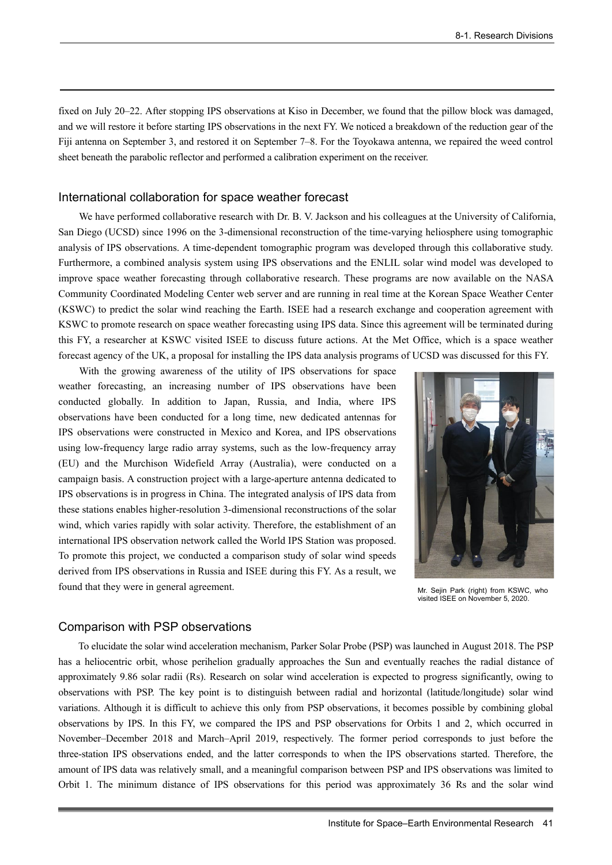fixed on July 20–22. After stopping IPS observations at Kiso in December, we found that the pillow block was damaged, and we will restore it before starting IPS observations in the next FY. We noticed a breakdown of the reduction gear of the Fiji antenna on September 3, and restored it on September 7–8. For the Toyokawa antenna, we repaired the weed control sheet beneath the parabolic reflector and performed a calibration experiment on the receiver.

#### International collaboration for space weather forecast

We have performed collaborative research with Dr. B. V. Jackson and his colleagues at the University of California, San Diego (UCSD) since 1996 on the 3-dimensional reconstruction of the time-varying heliosphere using tomographic analysis of IPS observations. A time-dependent tomographic program was developed through this collaborative study. Furthermore, a combined analysis system using IPS observations and the ENLIL solar wind model was developed to improve space weather forecasting through collaborative research. These programs are now available on the NASA Community Coordinated Modeling Center web server and are running in real time at the Korean Space Weather Center (KSWC) to predict the solar wind reaching the Earth. ISEE had a research exchange and cooperation agreement with KSWC to promote research on space weather forecasting using IPS data. Since this agreement will be terminated during this FY, a researcher at KSWC visited ISEE to discuss future actions. At the Met Office, which is a space weather forecast agency of the UK, a proposal for installing the IPS data analysis programs of UCSD was discussed for this FY.

With the growing awareness of the utility of IPS observations for space weather forecasting, an increasing number of IPS observations have been conducted globally. In addition to Japan, Russia, and India, where IPS observations have been conducted for a long time, new dedicated antennas for IPS observations were constructed in Mexico and Korea, and IPS observations using low-frequency large radio array systems, such as the low-frequency array (EU) and the Murchison Widefield Array (Australia), were conducted on a campaign basis. A construction project with a large-aperture antenna dedicated to IPS observations is in progress in China. The integrated analysis of IPS data from these stations enables higher-resolution 3-dimensional reconstructions of the solar wind, which varies rapidly with solar activity. Therefore, the establishment of an international IPS observation network called the World IPS Station was proposed. To promote this project, we conducted a comparison study of solar wind speeds derived from IPS observations in Russia and ISEE during this FY. As a result, we found that they were in general agreement.



Mr. Sejin Park (right) from KSWC, who visited ISEE on November 5, 2020.

#### Comparison with PSP observations

To elucidate the solar wind acceleration mechanism, Parker Solar Probe (PSP) was launched in August 2018. The PSP has a heliocentric orbit, whose perihelion gradually approaches the Sun and eventually reaches the radial distance of approximately 9.86 solar radii (Rs). Research on solar wind acceleration is expected to progress significantly, owing to observations with PSP. The key point is to distinguish between radial and horizontal (latitude/longitude) solar wind variations. Although it is difficult to achieve this only from PSP observations, it becomes possible by combining global observations by IPS. In this FY, we compared the IPS and PSP observations for Orbits 1 and 2, which occurred in November–December 2018 and March–April 2019, respectively. The former period corresponds to just before the three-station IPS observations ended, and the latter corresponds to when the IPS observations started. Therefore, the amount of IPS data was relatively small, and a meaningful comparison between PSP and IPS observations was limited to Orbit 1. The minimum distance of IPS observations for this period was approximately 36 Rs and the solar wind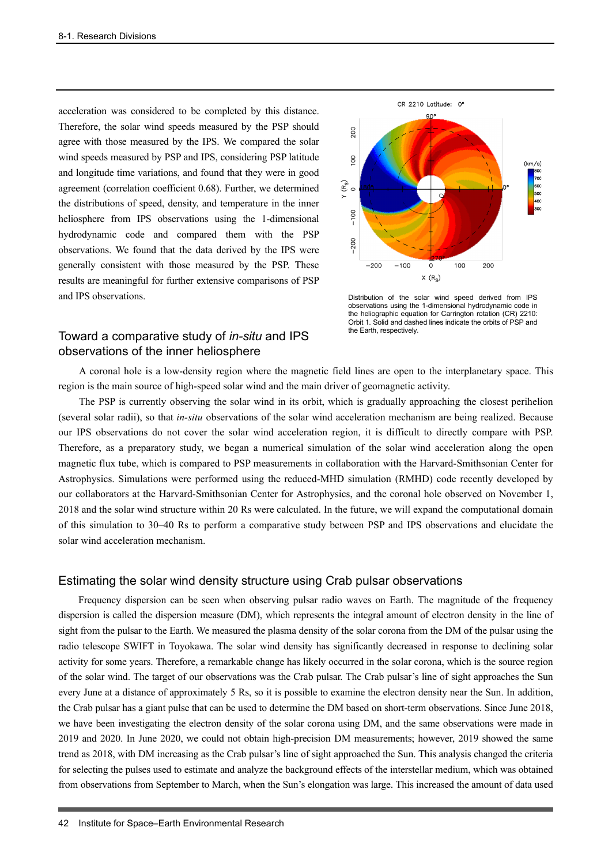acceleration was considered to be completed by this distance. Therefore, the solar wind speeds measured by the PSP should agree with those measured by the IPS. We compared the solar wind speeds measured by PSP and IPS, considering PSP latitude and longitude time variations, and found that they were in good agreement (correlation coefficient 0.68). Further, we determined the distributions of speed, density, and temperature in the inner heliosphere from IPS observations using the 1-dimensional hydrodynamic code and compared them with the PSP observations. We found that the data derived by the IPS were generally consistent with those measured by the PSP. These results are meaningful for further extensive comparisons of PSP and IPS observations.



Distribution of the solar wind speed derived from IPS observations using the 1-dimensional hydrodynamic code in the heliographic equation for Carrington rotation (CR) 2210: Orbit 1. Solid and dashed lines indicate the orbits of PSP and the Earth, respectively.

# Toward a comparative study of *in-situ* and IPS observations of the inner heliosphere

A coronal hole is a low-density region where the magnetic field lines are open to the interplanetary space. This region is the main source of high-speed solar wind and the main driver of geomagnetic activity.

The PSP is currently observing the solar wind in its orbit, which is gradually approaching the closest perihelion (several solar radii), so that *in-situ* observations of the solar wind acceleration mechanism are being realized. Because our IPS observations do not cover the solar wind acceleration region, it is difficult to directly compare with PSP. Therefore, as a preparatory study, we began a numerical simulation of the solar wind acceleration along the open magnetic flux tube, which is compared to PSP measurements in collaboration with the Harvard-Smithsonian Center for Astrophysics. Simulations were performed using the reduced-MHD simulation (RMHD) code recently developed by our collaborators at the Harvard-Smithsonian Center for Astrophysics, and the coronal hole observed on November 1, 2018 and the solar wind structure within 20 Rs were calculated. In the future, we will expand the computational domain of this simulation to 30–40 Rs to perform a comparative study between PSP and IPS observations and elucidate the solar wind acceleration mechanism.

## Estimating the solar wind density structure using Crab pulsar observations

Frequency dispersion can be seen when observing pulsar radio waves on Earth. The magnitude of the frequency dispersion is called the dispersion measure (DM), which represents the integral amount of electron density in the line of sight from the pulsar to the Earth. We measured the plasma density of the solar corona from the DM of the pulsar using the radio telescope SWIFT in Toyokawa. The solar wind density has significantly decreased in response to declining solar activity for some years. Therefore, a remarkable change has likely occurred in the solar corona, which is the source region of the solar wind. The target of our observations was the Crab pulsar. The Crab pulsar's line of sight approaches the Sun every June at a distance of approximately 5 Rs, so it is possible to examine the electron density near the Sun. In addition, the Crab pulsar has a giant pulse that can be used to determine the DM based on short-term observations. Since June 2018, we have been investigating the electron density of the solar corona using DM, and the same observations were made in 2019 and 2020. In June 2020, we could not obtain high-precision DM measurements; however, 2019 showed the same trend as 2018, with DM increasing as the Crab pulsar's line of sight approached the Sun. This analysis changed the criteria for selecting the pulses used to estimate and analyze the background effects of the interstellar medium, which was obtained from observations from September to March, when the Sun's elongation was large. This increased the amount of data used